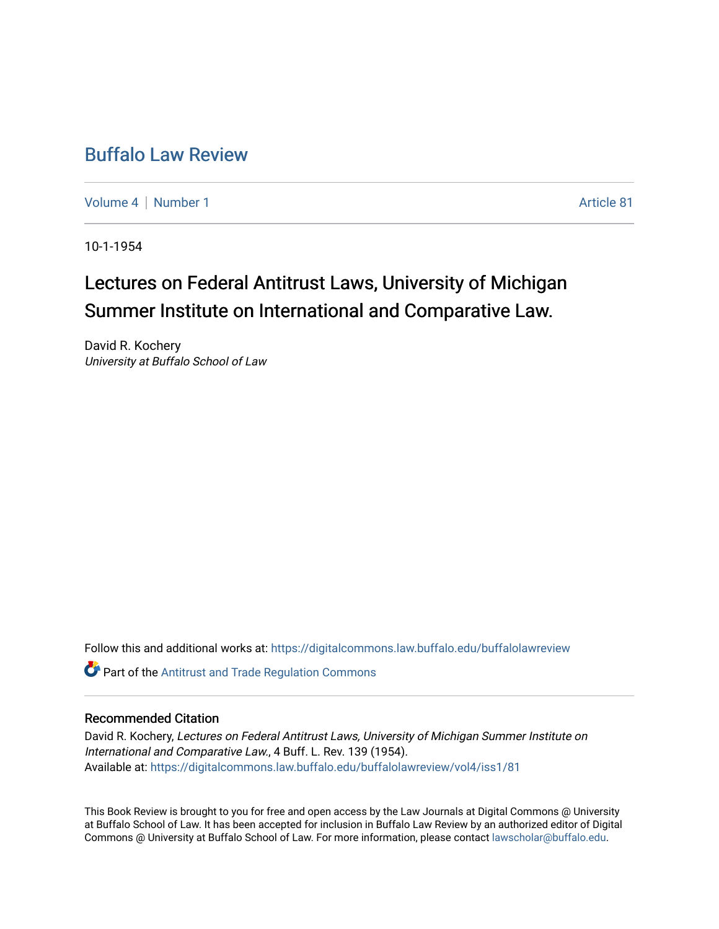## [Buffalo Law Review](https://digitalcommons.law.buffalo.edu/buffalolawreview)

[Volume 4](https://digitalcommons.law.buffalo.edu/buffalolawreview/vol4) | [Number 1](https://digitalcommons.law.buffalo.edu/buffalolawreview/vol4/iss1) Article 81

10-1-1954

## Lectures on Federal Antitrust Laws, University of Michigan Summer Institute on International and Comparative Law.

David R. Kochery University at Buffalo School of Law

Follow this and additional works at: [https://digitalcommons.law.buffalo.edu/buffalolawreview](https://digitalcommons.law.buffalo.edu/buffalolawreview?utm_source=digitalcommons.law.buffalo.edu%2Fbuffalolawreview%2Fvol4%2Fiss1%2F81&utm_medium=PDF&utm_campaign=PDFCoverPages) 

**Part of the Antitrust and Trade Regulation Commons** 

## Recommended Citation

David R. Kochery, Lectures on Federal Antitrust Laws, University of Michigan Summer Institute on International and Comparative Law., 4 Buff. L. Rev. 139 (1954). Available at: [https://digitalcommons.law.buffalo.edu/buffalolawreview/vol4/iss1/81](https://digitalcommons.law.buffalo.edu/buffalolawreview/vol4/iss1/81?utm_source=digitalcommons.law.buffalo.edu%2Fbuffalolawreview%2Fvol4%2Fiss1%2F81&utm_medium=PDF&utm_campaign=PDFCoverPages) 

This Book Review is brought to you for free and open access by the Law Journals at Digital Commons @ University at Buffalo School of Law. It has been accepted for inclusion in Buffalo Law Review by an authorized editor of Digital Commons @ University at Buffalo School of Law. For more information, please contact [lawscholar@buffalo.edu](mailto:lawscholar@buffalo.edu).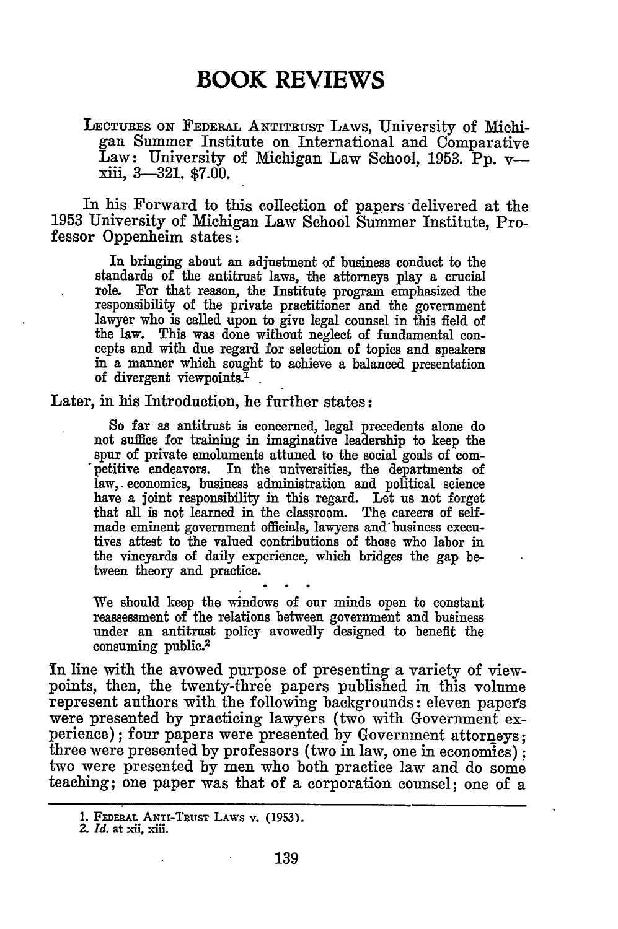LECTURES ON FEDERAL ANTITRUST LAWS, University of Michigan Summer Institute on International and Comparative Law: University of Michigan Law School, 1953. Pp. vxiii, **3-321. \$7.00.**

In his Forward to this collection of papers delivered at the **1953** University of Michigan Law School Summer Institute, Professor Oppenheim states:

In bringing about an adjustment of business conduct to the standards of the antitrust laws, the attorneys play a crucial role. For that reason, the Institute program emphasized the responsibility of the private practitioner and the government lawyer who is called upon to give legal counsel in this field of the law. This was done without neglect of fundamental concepts and with due regard for selection of topics and speakers in a manner which sought to achieve a balanced presentation of divergent viewpoints.<sup>1</sup>

Later, in his Introduction, he further states:

So far as antitrust is concerned, legal precedents alone do not suffice for training in imaginative leadership to keep the spur of private emoluments attuned to the social goals of competitive endeavors. In the universities, the departments of law, economics, business administration and political science have a joint responsibility in this regard. Let us not forget that all is not learned in the classroom. The careers of selfmade eminent government officials, lawyers and'business executives attest to the valued contributions of those who labor in the vineyards of daily experience, which bridges the gap between theory and practice.

We should keep the windows of our minds open to constant reassessment of the relations between government and business under an antitrust policy avowedly designed to benefit the consuming public.<sup>2</sup>

In line with the avowed purpose of presenting a variety of viewpoints, then, the twenty-three papers published in this volume represent authors with the following backgrounds: eleven papets were presented by practicing lawyers (two with Government experience); four papers were presented by Government attorneys; three were presented by professors (two in law, one in economics); two were presented **by** men who both practice law and do some teaching; one paper was that of a corporation counsel; one of a

**<sup>1.</sup>** FEDERAL ANTI-TRusT LAWS v. **(1953).**

*<sup>2.</sup> Id.* at **xii, xiii.**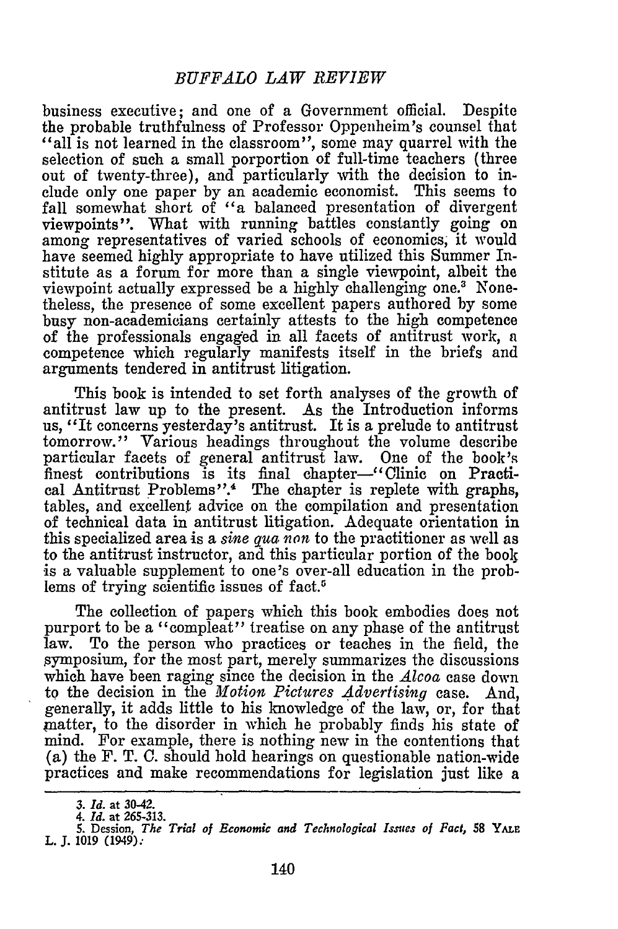business executive; and one of a Government official. Despite the probable truthfulness of Professor Oppenheim's counsel that "all is not learned in the classroom", some may quarrel with the selection of such a small porportion of full-time teachers (three out of twenty-three), and particularly with the decision to include only one paper by an academic economist. This seems to fall somewhat short of "a balanced presentation of divergent viewpoints". What with running battles constantly going on among representatives of varied schools of economics; it would have seemed highly appropriate to have utilized this Summer Institute as a forum for more than a single viewpoint, albeit the viewpoint actually expressed be a highly challenging one.3 Nonetheless, the presence of some excellent papers authored by some busy non-academicians certainly attests to the high competence of the professionals engaged in all facets of antitrust work, a competence which regularly manifests itself in the briefs and arguments tendered in antitrust litigation.

This book is intended to set forth analyses of the growth of antitrust law up to the present. As the Introduction informs us, "It concerns yesterday's antitrust. It is a prelude to antitrust tomorrow." Various headings throughout the volume describe particular facets of general antitrust law. One of the book's finest contributions is its final chapter-"Clinic on Practical Antitrust Problems".<sup>4</sup> The chapter is replete with graphs, tables, and excellent advice on the compilation and presentation of technical data in antitrust litigation. Adequate orientation in this specialized area is a *sine qua non* to the practitioner as well as to the antitrust instructor, and this particular portion of the boolg is a valuable supplement to one's over-all education in the problems of trying scientific issues of fact.5

The collection of papers which this book embodies does not purport to be a "compleat" treatise on any phase of the antitrust law. To the person who practices or teaches in the field, the symposium, for the most part, merely summarizes the discussions which have been raging since the decision in the *Alcoa* case down to the decision in the *Motion Pictures Advertising* case. And, generally, it adds little to his knowledge of the law, or, for that matter, to the disorder in which he probably finds his state of mind. For example, there is nothing new in the contentions that (a) the F. T. C. should hold hearings on questionable nation-wide practices and make recommendations for legislation just like a

*<sup>3.</sup> Id.* **at 30-42.** *4. Id.* **at 265-313. 5.** Dession, *The Trial of Economic and Technological Issues of Fact,* **58** YALE **L. J. 1019 (1949):**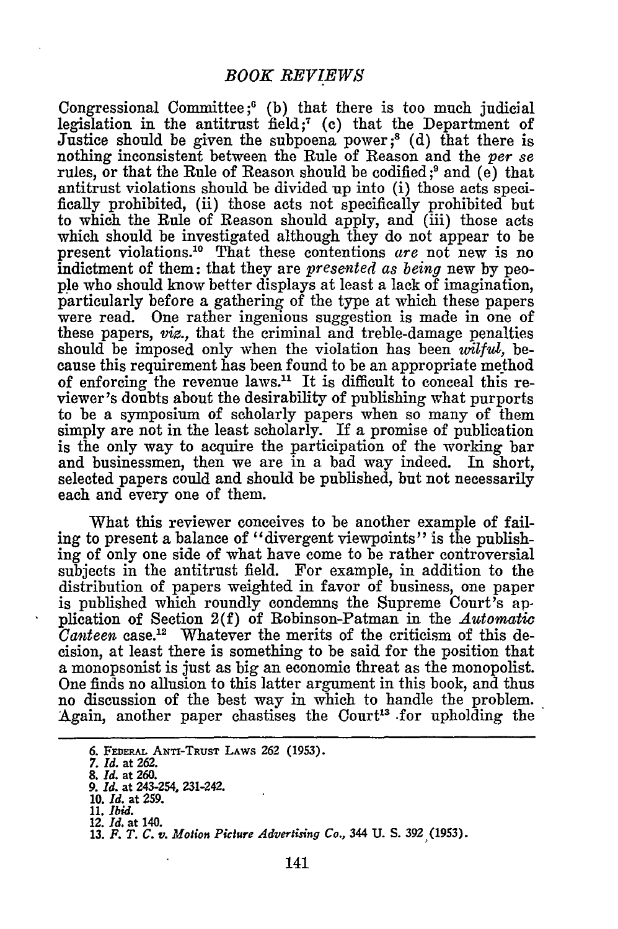Congressional Committee;' (b) that there is too much judicial legislation in the antitrust field;<sup>7</sup> (c) that the Department of Justice should be given the subpoena power;<sup>8</sup> (d) that there is nothing inconsistent between the Rule of Reason and the *per se* rules, or that the Rule of Reason should be codified;<sup>9</sup> and (e) that antitrust violations should be divided up into (i) those acts specifically prohibited, (ii) those acts not specifically prohibited but to which the Rule of Reason should apply, and (iii) those acts which should be investigated although they do not appear to be present violations."0 That these contentions *are* not new is no indictment of them: that they are *presented as being* new **by** people who should know better displays at least a lack of imagination, particularly before a gathering of the type at which these papers were read. One rather ingenious suggestion is made in one of these papers, *viz.,* that the criminal and treble-damage penalties should be imposed only when the violation has been *wilful,* because this requirement has been found to be an appropriate method of enforcing the revenue laws.<sup>11</sup> It is difficult to conceal this reviewer's doubts about the desirability of publishing what purports to be a symposium of scholarly papers when so many of them simply are not in the least scholarly. If a promise of publication is the only way to acquire the participation of the working bar and businessmen, then we are in a bad way indeed. In short, selected papers could and should be published, but not necessarily each and every one of them.

What this reviewer conceives to be another example of failing to present a balance of "divergent viewpoints" is the publishing of only one side of what have come to be rather controversial subjects in the antitrust field. For example, in addition to the distribution of papers weighted in favor of business, one paper is published which roundly condemns the Supreme Court's application of Section 2(f) of Robinson-Patman in the *Automatic Canteen* case.<sup>12</sup> Whatever the merits of the criticism of this decision, at least there is something to be said for the position that a monopsonist is just as big an economic threat as the monopolist. One finds no allusion to this latter argument in this book, and thus no discussion of the best way in which to handle the problem. Again, another paper chastises the Court<sup>13</sup> for upholding the

*<sup>6.</sup>* FEEAL AxTi-TRusT LAWs *262* **(1953).**

*<sup>7.</sup> Id.* at **262.**

**<sup>8.</sup>** *Id.* at **260.**

*<sup>9.</sup> Id.* at 243-254, 231-242.

**<sup>10.</sup>** *Id.* **at 259. 11.** *Ibid.* 12. *Id.* **at** 140. **13.** *F. T. C. v. Motion Picture Advertising Co.,* 344 **U. S. 392 (1953).**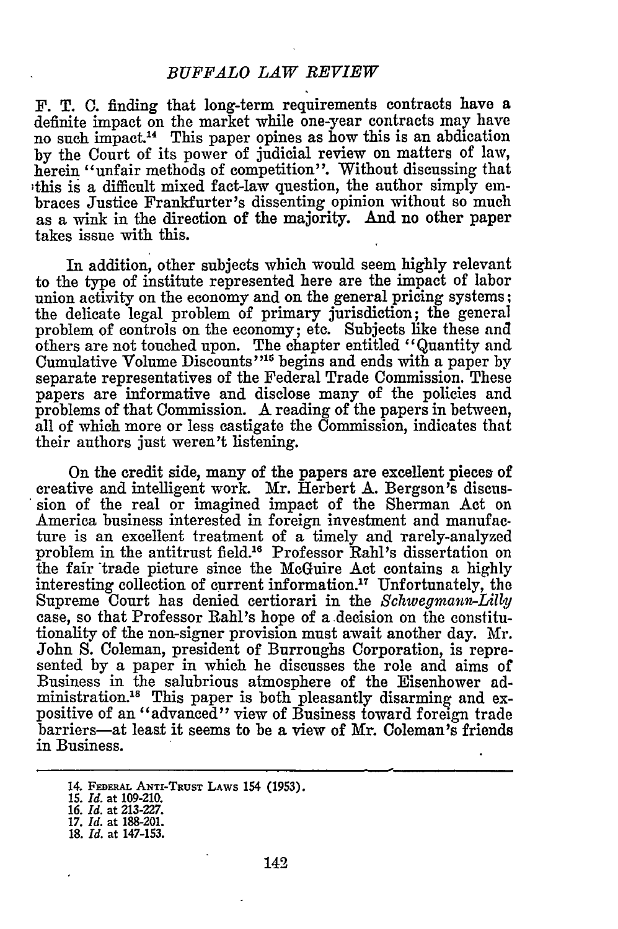## *BUFFALO LAW REVIEW*

F. T. **C.** finding that long-term requirements contracts have a definite impact on the market while one-year contracts may have no such impact.14 This paper opines as how this is an abdication **by** the Court of its power of judicial review on matters of law, herein "unfair methods of competition". Without discussing that -this **is** a difficult mixed fact-law question, the author simply embraces Justice Frankfurter's dissenting opinion without so much as a wink in the direction of the majority. **And** no other paper takes issue with this.

In addition, other subjects which would seem **highly** relevant to the type of institute represented here are the impact of labor union activity on the economy and on the general pricing systems; the delicate legal problem of primary jurisdiction; **the** general problem of controls on the economy; etc. Subjects like these and others are not touched upon. The chapter entitled "Quantity and Cumulative Volume Discounts'<sup>115</sup> begins and ends with a paper by separate representatives of the Federal Trade Commission. These papers are informative and disclose many of the policies and problems of that Commission. A reading of the papers in between, all of which more or less castigate the Commission, indicates that their authors just weren't listening.

On the credit side, many of the papers are excellent pieces of creative and intelligent work. Mr. Herbert **A.** Bergson's discussion of the real or imagined impact of the Sherman Act on America business interested in foreign investment and manufac. ture is an excellent treatment of a timely and rarely-analyzed problem in the antitrust field.<sup>16</sup> Professor Rahl's dissertation on the fair trade picture since the McGuire Act contains a **highly** interesting collection of current information.17 Unfortunately, the Supreme Court has denied certiorari in the *Schwegmann-Lilly* case, so that Professor Rahl's hope of a decision on the constitutionality of the non-signer provision must await another day. Mr. John **S.** Coleman, president of Burroughs Corporation, is represented **by** a paper in which he discusses the role and aims of Business in the salubrious atmosphere of the Eisenhower administration.<sup>18</sup> This paper is both pleasantly disarming and expositive of an "advanced" view of Business toward foreign trade barriers-at least it seems to be a view of Mr. Coleman's friends in Business.

**<sup>14.</sup>** FEDERAL **ANTI-TRuST LAws 154 (1953).** *15. Id.* at **109-210.**

*<sup>16.</sup> Id.* at **213-227. 17.** *Id.* at 188-201.

**<sup>18.</sup>** *Id.* at **147-153.**